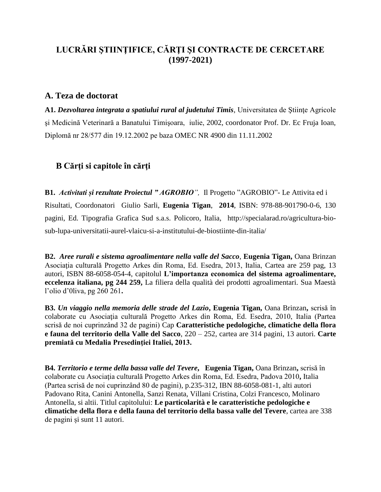# **LUCRĂRI ŞTIINŢIFICE, CĂRŢI ŞI CONTRACTE DE CERCETARE (1997-2021)**

#### **A. Teza de doctorat**

**A1.** *Dezvoltarea integrata a spatiului rural al judetului Timis*, Universitatea de Stiinte Agricole şi Medicină Veterinară a Banatului Timişoara, iulie, 2002, coordonator Prof. Dr. Ec Fruja Ioan, Diplomă nr 28/577 din 19.12.2002 pe baza OMEC NR 4900 din 11.11.2002

### **B Cărţi si capitole în cărţi**

**B1.** *Activitati și rezultate Proiectul " AGROBIO",* Il Progetto "AGROBIO"- Le Attivita ed i Risultati, Coordonatori Giulio Sarli, **Eugenia Tigan**, **2014**, ISBN: 978-88-901790-0-6, 130 pagini, Ed. Tipografia Grafica Sud s.a.s. Policoro, Italia, [http://specialarad.ro/agricultura-bio](http://specialarad.ro/agricultura-bio-sub-lupa-universitatii-aurel-vlaicu-si-a-institutului-de-biostiinte-din-italia/)[sub-lupa-universitatii-aurel-vlaicu-si-a-institutului-de-biostiinte-din-italia/](http://specialarad.ro/agricultura-bio-sub-lupa-universitatii-aurel-vlaicu-si-a-institutului-de-biostiinte-din-italia/)

**B2.** *Aree rurali e sistema agroalimentare nella valle del Sacco*, **Eugenia Tigan,** Oana Brinzan Asociatia culturală Progetto Arkes din Roma, Ed. Esedra, 2013, Italia, Cartea are 259 pag, 13 autori, ISBN 88-6058-054-4, capitolul **L'importanza economica del sistema agroalimentare, eccelenza italiana, pg 244 259,** La filiera della qualità dei prodotti agroalimentari. Sua Maestà l'olio d'0liva, pg 260 261**.** 

**B3.** *Un viaggio nella memoria delle strade del Lazio***, Eugenia Tigan,** Oana Brinzan**,** scrisă în colaborate cu Asociaţia culturală Progetto Arkes din Roma, Ed. Esedra, 2010, Italia (Partea scrisă de noi cuprinzând 32 de pagini) Cap **Caratteristiche pedologiche, climatiche della flora e fauna del territorio della Valle del Sacco**, 220 – 252, cartea are 314 pagini, 13 autori. **Carte premiată cu Medalia Presedinţiei Italiei, 2013.**

**B4.** *Territorio e terme della bassa valle del Tevere***, Eugenia Tigan,** Oana Brinzan**,** scrisă în colaborate cu Asociaţia culturală Progetto Arkes din Roma, Ed. Esedra, Padova 2010**,** Italia (Partea scrisă de noi cuprinzând 80 de pagini), p.235-312, IBN 88-6058-081-1, alti autori Padovano Rita, Canini Antonella, Sanzi Renata, Villani Cristina, Colzi Francesco, Molinaro Antonella, si altii. Titlul capitolului: **Le particolarità e le caratteristiche pedologiche e climatiche della flora e della fauna del territorio della bassa valle del Tevere**, cartea are 338 de pagini și sunt 11 autori.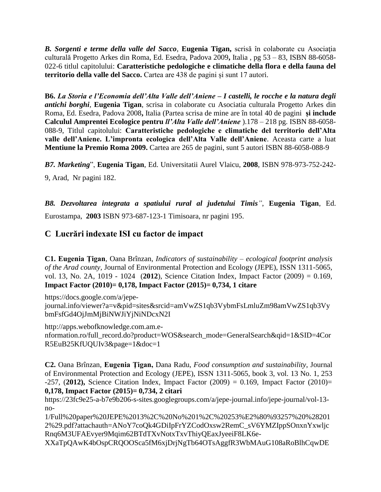*B. Sorgenti e terme della valle del Sacco*, **Eugenia Tigan,** scrisă în colaborate cu Asociaţia culturală Progetto Arkes din Roma, Ed. Esedra, Padova 2009**,** Italia , pg 53 – 83, ISBN 88-6058- 022-6 titlul capitolului: **Caratteristiche pedologiche e climatiche della flora e della fauna del territorio della valle del Sacco.** Cartea are 438 de pagini și sunt 17 autori.

**B6.** *La Storia e l'Economia dell'Alta Valle dell'Aniene – I castelli, le rocche e la natura degli antichi borghi*, **Eugenia Tigan**, scrisa in colaborate cu Asociatia culturala Progetto Arkes din Roma, Ed. Esedra, Padova 2008**,** Italia (Partea scrisa de mine are în total 40 de pagini **și include Calculul Amprentei Ecologice pentru** *ll'Alta Valle dell'Aniene* ).178 – 218 pg. ISBN 88-6058- 088-9, Titlul capitolului: **Caratteristiche pedologiche e climatiche del territorio dell'Alta valle dell'Aniene. L'impronta ecologica dell'Alta Valle dell'Aniene**. Aceasta carte a luat **Mentiune la Premio Roma 2009.** Cartea are 265 de pagini, sunt 5 autori ISBN 88-6058-088-9

*B7. Marketing*", **Eugenia Tigan**, Ed. Universitatii Aurel Vlaicu, **2008**, ISBN 978-973-752-242-

9, Arad, Nr pagini 182.

*B8. Dezvoltarea integrata a spatiului rural al judetului Timis"*, **Eugenia Tigan**, Ed. Eurostampa, **2003** ISBN 973-687-123-1 Timisoara, nr pagini 195.

# **C Lucrări indexate ISI cu factor de impact**

**C1. Eugenia Ţigan**, Oana Brînzan, *Indicators of sustainability – ecological footprint analysis of the Arad county,* Journal of Environmental Protection and Ecology (JEPE), ISSN 1311-5065, vol. 13, No. 2A, 1019 - 1024 (**2012**), Science Citation Index, Impact Factor (2009) = 0.169, **Impact Factor (2010)= 0,178, Impact Factor (2015)= 0,734, 1 citare**

[https://docs.google.com/a/jepe-](https://docs.google.com/a/jepe-journal.info/viewer?a=v&pid=sites&srcid=amVwZS1qb3VybmFsLmluZm98amVwZS1qb3VybmFsfGd4OjJmMjBiNWJiYjNiNDcxN2I)

[journal.info/viewer?a=v&pid=sites&srcid=amVwZS1qb3VybmFsLmluZm98amVwZS1qb3Vy](https://docs.google.com/a/jepe-journal.info/viewer?a=v&pid=sites&srcid=amVwZS1qb3VybmFsLmluZm98amVwZS1qb3VybmFsfGd4OjJmMjBiNWJiYjNiNDcxN2I) [bmFsfGd4OjJmMjBiNWJiYjNiNDcxN2I](https://docs.google.com/a/jepe-journal.info/viewer?a=v&pid=sites&srcid=amVwZS1qb3VybmFsLmluZm98amVwZS1qb3VybmFsfGd4OjJmMjBiNWJiYjNiNDcxN2I)

[http://apps.webofknowledge.com.am.e](http://apps.webofknowledge.com.am.e-nformation.ro/full_record.do?product=WOS&search_mode=GeneralSearch&qid=1&SID=4CorR5EuB25KfUQUIv3&page=1&doc=1)[nformation.ro/full\\_record.do?product=WOS&search\\_mode=GeneralSearch&qid=1&SID=4Cor](http://apps.webofknowledge.com.am.e-nformation.ro/full_record.do?product=WOS&search_mode=GeneralSearch&qid=1&SID=4CorR5EuB25KfUQUIv3&page=1&doc=1) [R5EuB25KfUQUIv3&page=1&doc=1](http://apps.webofknowledge.com.am.e-nformation.ro/full_record.do?product=WOS&search_mode=GeneralSearch&qid=1&SID=4CorR5EuB25KfUQUIv3&page=1&doc=1)

**C2.** Oana Brînzan, **Eugenia Ţigan,** Dana Radu, *Food consumption and sustainability*, Journal of Environmental Protection and Ecology (JEPE), ISSN 1311-5065, book 3, vol. 13 No. 1, 253 -257, (**2012),** Science Citation Index, Impact Factor (2009) = 0.169, Impact Factor (2010)= **0,178, Impact Factor (2015)= 0,734, 2 citari**

[https://23fc9e25-a-b7e9b206-s-sites.googlegroups.com/a/jepe-journal.info/jepe-journal/vol-13](https://23fc9e25-a-b7e9b206-s-sites.googlegroups.com/a/jepe-journal.info/jepe-journal/vol-13-no-1/Full%20paper%20JEPE%2013%2C%20No%201%2C%20253%E2%80%93257%20%282012%29.pdf?attachauth=ANoY7coQk4GDiIpFrYZCodOxsw2RemC_sV6YMZIppSOnxnYxwljcRnq6M3UFAEvyer9Mqim62BTdTXvNotxTxvThiyQEaxJyeeiF8LK6e-XXaTpQAwK4bOspCRQOOSca5fM6xjDrjNgTb64OTsAggfR3WbMAuG108aRoBlhCqwDEd5tjGuqpseymilm51KMAd3FMZi8Gf8nF5NWb4ozBJ1H-ojdxlTIzGHMxGLxy6SdnDiUnnD_a6qFbqqBxG949GlI1Pa-k4FxU-CB2TdWuaTM35suq-G30a70B87cOwimMAJKe3dd-r0o%3D&attredirects=1) [no-](https://23fc9e25-a-b7e9b206-s-sites.googlegroups.com/a/jepe-journal.info/jepe-journal/vol-13-no-1/Full%20paper%20JEPE%2013%2C%20No%201%2C%20253%E2%80%93257%20%282012%29.pdf?attachauth=ANoY7coQk4GDiIpFrYZCodOxsw2RemC_sV6YMZIppSOnxnYxwljcRnq6M3UFAEvyer9Mqim62BTdTXvNotxTxvThiyQEaxJyeeiF8LK6e-XXaTpQAwK4bOspCRQOOSca5fM6xjDrjNgTb64OTsAggfR3WbMAuG108aRoBlhCqwDEd5tjGuqpseymilm51KMAd3FMZi8Gf8nF5NWb4ozBJ1H-ojdxlTIzGHMxGLxy6SdnDiUnnD_a6qFbqqBxG949GlI1Pa-k4FxU-CB2TdWuaTM35suq-G30a70B87cOwimMAJKe3dd-r0o%3D&attredirects=1)

[1/Full%20paper%20JEPE%2013%2C%20No%201%2C%20253%E2%80%93257%20%28201](https://23fc9e25-a-b7e9b206-s-sites.googlegroups.com/a/jepe-journal.info/jepe-journal/vol-13-no-1/Full%20paper%20JEPE%2013%2C%20No%201%2C%20253%E2%80%93257%20%282012%29.pdf?attachauth=ANoY7coQk4GDiIpFrYZCodOxsw2RemC_sV6YMZIppSOnxnYxwljcRnq6M3UFAEvyer9Mqim62BTdTXvNotxTxvThiyQEaxJyeeiF8LK6e-XXaTpQAwK4bOspCRQOOSca5fM6xjDrjNgTb64OTsAggfR3WbMAuG108aRoBlhCqwDEd5tjGuqpseymilm51KMAd3FMZi8Gf8nF5NWb4ozBJ1H-ojdxlTIzGHMxGLxy6SdnDiUnnD_a6qFbqqBxG949GlI1Pa-k4FxU-CB2TdWuaTM35suq-G30a70B87cOwimMAJKe3dd-r0o%3D&attredirects=1) [2%29.pdf?attachauth=ANoY7coQk4GDiIpFrYZCodOxsw2RemC\\_sV6YMZIppSOnxnYxwljc](https://23fc9e25-a-b7e9b206-s-sites.googlegroups.com/a/jepe-journal.info/jepe-journal/vol-13-no-1/Full%20paper%20JEPE%2013%2C%20No%201%2C%20253%E2%80%93257%20%282012%29.pdf?attachauth=ANoY7coQk4GDiIpFrYZCodOxsw2RemC_sV6YMZIppSOnxnYxwljcRnq6M3UFAEvyer9Mqim62BTdTXvNotxTxvThiyQEaxJyeeiF8LK6e-XXaTpQAwK4bOspCRQOOSca5fM6xjDrjNgTb64OTsAggfR3WbMAuG108aRoBlhCqwDEd5tjGuqpseymilm51KMAd3FMZi8Gf8nF5NWb4ozBJ1H-ojdxlTIzGHMxGLxy6SdnDiUnnD_a6qFbqqBxG949GlI1Pa-k4FxU-CB2TdWuaTM35suq-G30a70B87cOwimMAJKe3dd-r0o%3D&attredirects=1) [Rnq6M3UFAEvyer9Mqim62BTdTXvNotxTxvThiyQEaxJyeeiF8LK6e-](https://23fc9e25-a-b7e9b206-s-sites.googlegroups.com/a/jepe-journal.info/jepe-journal/vol-13-no-1/Full%20paper%20JEPE%2013%2C%20No%201%2C%20253%E2%80%93257%20%282012%29.pdf?attachauth=ANoY7coQk4GDiIpFrYZCodOxsw2RemC_sV6YMZIppSOnxnYxwljcRnq6M3UFAEvyer9Mqim62BTdTXvNotxTxvThiyQEaxJyeeiF8LK6e-XXaTpQAwK4bOspCRQOOSca5fM6xjDrjNgTb64OTsAggfR3WbMAuG108aRoBlhCqwDEd5tjGuqpseymilm51KMAd3FMZi8Gf8nF5NWb4ozBJ1H-ojdxlTIzGHMxGLxy6SdnDiUnnD_a6qFbqqBxG949GlI1Pa-k4FxU-CB2TdWuaTM35suq-G30a70B87cOwimMAJKe3dd-r0o%3D&attredirects=1)

[XXaTpQAwK4bOspCRQOOSca5fM6xjDrjNgTb64OTsAggfR3WbMAuG108aRoBlhCqwDE](https://23fc9e25-a-b7e9b206-s-sites.googlegroups.com/a/jepe-journal.info/jepe-journal/vol-13-no-1/Full%20paper%20JEPE%2013%2C%20No%201%2C%20253%E2%80%93257%20%282012%29.pdf?attachauth=ANoY7coQk4GDiIpFrYZCodOxsw2RemC_sV6YMZIppSOnxnYxwljcRnq6M3UFAEvyer9Mqim62BTdTXvNotxTxvThiyQEaxJyeeiF8LK6e-XXaTpQAwK4bOspCRQOOSca5fM6xjDrjNgTb64OTsAggfR3WbMAuG108aRoBlhCqwDEd5tjGuqpseymilm51KMAd3FMZi8Gf8nF5NWb4ozBJ1H-ojdxlTIzGHMxGLxy6SdnDiUnnD_a6qFbqqBxG949GlI1Pa-k4FxU-CB2TdWuaTM35suq-G30a70B87cOwimMAJKe3dd-r0o%3D&attredirects=1)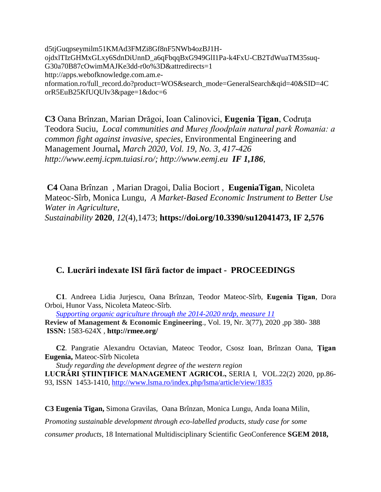[d5tjGuqpseymilm51KMAd3FMZi8Gf8nF5NWb4ozBJ1H](https://23fc9e25-a-b7e9b206-s-sites.googlegroups.com/a/jepe-journal.info/jepe-journal/vol-13-no-1/Full%20paper%20JEPE%2013%2C%20No%201%2C%20253%E2%80%93257%20%282012%29.pdf?attachauth=ANoY7coQk4GDiIpFrYZCodOxsw2RemC_sV6YMZIppSOnxnYxwljcRnq6M3UFAEvyer9Mqim62BTdTXvNotxTxvThiyQEaxJyeeiF8LK6e-XXaTpQAwK4bOspCRQOOSca5fM6xjDrjNgTb64OTsAggfR3WbMAuG108aRoBlhCqwDEd5tjGuqpseymilm51KMAd3FMZi8Gf8nF5NWb4ozBJ1H-ojdxlTIzGHMxGLxy6SdnDiUnnD_a6qFbqqBxG949GlI1Pa-k4FxU-CB2TdWuaTM35suq-G30a70B87cOwimMAJKe3dd-r0o%3D&attredirects=1)[ojdxlTIzGHMxGLxy6SdnDiUnnD\\_a6qFbqqBxG949GlI1Pa-k4FxU-CB2TdWuaTM35suq-](https://23fc9e25-a-b7e9b206-s-sites.googlegroups.com/a/jepe-journal.info/jepe-journal/vol-13-no-1/Full%20paper%20JEPE%2013%2C%20No%201%2C%20253%E2%80%93257%20%282012%29.pdf?attachauth=ANoY7coQk4GDiIpFrYZCodOxsw2RemC_sV6YMZIppSOnxnYxwljcRnq6M3UFAEvyer9Mqim62BTdTXvNotxTxvThiyQEaxJyeeiF8LK6e-XXaTpQAwK4bOspCRQOOSca5fM6xjDrjNgTb64OTsAggfR3WbMAuG108aRoBlhCqwDEd5tjGuqpseymilm51KMAd3FMZi8Gf8nF5NWb4ozBJ1H-ojdxlTIzGHMxGLxy6SdnDiUnnD_a6qFbqqBxG949GlI1Pa-k4FxU-CB2TdWuaTM35suq-G30a70B87cOwimMAJKe3dd-r0o%3D&attredirects=1)[G30a70B87cOwimMAJKe3dd-r0o%3D&attredirects=1](https://23fc9e25-a-b7e9b206-s-sites.googlegroups.com/a/jepe-journal.info/jepe-journal/vol-13-no-1/Full%20paper%20JEPE%2013%2C%20No%201%2C%20253%E2%80%93257%20%282012%29.pdf?attachauth=ANoY7coQk4GDiIpFrYZCodOxsw2RemC_sV6YMZIppSOnxnYxwljcRnq6M3UFAEvyer9Mqim62BTdTXvNotxTxvThiyQEaxJyeeiF8LK6e-XXaTpQAwK4bOspCRQOOSca5fM6xjDrjNgTb64OTsAggfR3WbMAuG108aRoBlhCqwDEd5tjGuqpseymilm51KMAd3FMZi8Gf8nF5NWb4ozBJ1H-ojdxlTIzGHMxGLxy6SdnDiUnnD_a6qFbqqBxG949GlI1Pa-k4FxU-CB2TdWuaTM35suq-G30a70B87cOwimMAJKe3dd-r0o%3D&attredirects=1) [http://apps.webofknowledge.com.am.e](http://apps.webofknowledge.com.am.e-nformation.ro/full_record.do?product=WOS&search_mode=GeneralSearch&qid=40&SID=4CorR5EuB25KfUQUIv3&page=1&doc=6)[nformation.ro/full\\_record.do?product=WOS&search\\_mode=GeneralSearch&qid=40&SID=4C](http://apps.webofknowledge.com.am.e-nformation.ro/full_record.do?product=WOS&search_mode=GeneralSearch&qid=40&SID=4CorR5EuB25KfUQUIv3&page=1&doc=6) [orR5EuB25KfUQUIv3&page=1&doc=6](http://apps.webofknowledge.com.am.e-nformation.ro/full_record.do?product=WOS&search_mode=GeneralSearch&qid=40&SID=4CorR5EuB25KfUQUIv3&page=1&doc=6)

**C3** Oana Brînzan, Marian Drăgoi, Ioan Calinovici, **Eugenia Țigan**, Codruța Teodora Suciu, *Local communities and Mureș floodplain natural park Romania: a common fight against invasive, species*, Environmental Engineering and Management Journal*, March 2020, Vol. 19, No. 3, 417-426 http://www.eemj.icpm.tuiasi.ro/; [http://www.eemj.eu](http://www.eemj.eu/) IF 1,186*,

**C4** Oana Brînzan , Marian Dragoi, Dalia Bociort , **EugeniaTigan**, Nicoleta Mateoc-Sîrb, Monica Lungu, *A Market-Based Economic Instrument to Better Use Water in Agriculture,*

*Sustainability* **2020**, *12*(4),1473; **[https://doi.org/10.3390/su12041473,](https://doi.org/10.3390/su12041473) IF 2,576**

### **C. Lucrări indexate ISI fără factor de impact - PROCEEDINGS**

**C1**. Andreea Lidia Jurjescu, Oana Brînzan, Teodor Mateoc-Sîrb, **Eugenia Țigan**, Dora Orboi, Hunor Vass, Nicoleta Mateoc-Sîrb.

*[Supporting organic agriculture through the 2014-2020 nrdp, measure 11](http://rmee.org/abstracturi/77/06_stud_Articol_542_articol%202%20Jurjescu%20Andreea.pdf)*

**Review of Management & Economic Engineering**.*,* Vol. 19, Nr. 3(77), 2020 *,*pp 380- 388 **ISSN:** 1583-624X *,* **http://rmee.org/**

**C2**. Pangratie Alexandru Octavian, Mateoc Teodor, Csosz Ioan, Brînzan Oana, **Țigan Eugenia,** Mateoc-Sîrb Nicoleta

*Study regarding the development degree of the western region* **LUCRĂRI ȘTIINȚIFICE MANAGEMENT AGRICOL,** SERIA I, VOL.22(2) 2020, pp.86- 93, ISSN 1453-1410,<http://www.lsma.ro/index.php/lsma/article/view/1835>

**C3 Eugenia Tigan,** Simona Gravilas, Oana Brînzan, Monica Lungu, Anda Ioana Milin, *Promoting sustainable development through eco-labelled products, study case for some* 

*consumer products,* 18 International Multidisciplinary Scientific GeoConference **SGEM 2018,**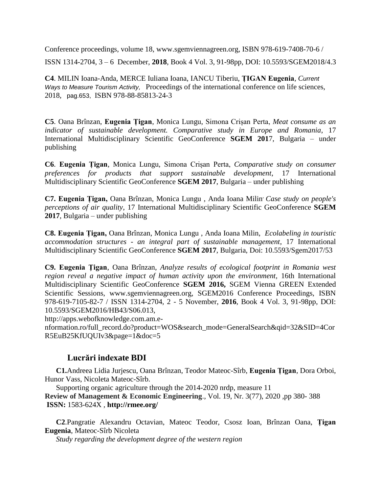Conference proceedings, volume 18, [www.sgemviennagreen.org,](http://www.sgemviennagreen.org/) ISBN 978-619-7408-70-6 / ISSN 1314-2704, 3 – 6 December, **2018**, Book 4 Vol. 3, 91-98pp, DOI: 10.5593/SGEM2018/4.3

**C4**. MILIN Ioana-Anda, MERCE Iuliana Ioana, IANCU Tiberiu, **ȚIGAN Eugenia**, *Current Ways to Measure Tourism Activity,* Proceedings of the international conference on life sciences, 2018, pag.653, ISBN 978-88-85813-24-3

**C5**. Oana Brînzan, **Eugenia Țigan**, Monica Lungu, Simona Crișan Perta, *Meat consume as an indicator of sustainable development. Comparative study in Europe and Romania*, 17 International Multidisciplinary Scientific GeoConference **SGEM 201**7, Bulgaria – under publishing

**C6**. **Eugenia Țigan**, Monica Lungu, Simona Crișan Perta, *Comparative study on consumer preferences for products that support sustainable development*, 17 International Multidisciplinary Scientific GeoConference **SGEM 2017**, Bulgaria – under publishing

**C7. Eugenia Țigan,** Oana Brînzan, Monica Lungu , Anda Ioana Milin*, Case study on people's perceptions of air quality*, 17 International Multidisciplinary Scientific GeoConference **SGEM 2017**, Bulgaria – under publishing

**C8. Eugenia Țigan,** Oana Brînzan, Monica Lungu , Anda Ioana Milin, *Ecolabeling in touristic accommodation structures - an integral part of sustainable management*, 17 International Multidisciplinary Scientific GeoConference **SGEM 2017**, Bulgaria, Doi: 10.5593/Sgem2017/53

**C9. Eugenia Ţigan**, Oana Brînzan, *Analyze results of ecological footprint in Romania west region reveal a negative impact of human activity upon the environment,* 16th International Multidisciplinary Scientific GeoConference **SGEM 2016,** SGEM Vienna GREEN Extended Scientific Sessions, [www.sgemviennagreen.org,](http://www.sgemviennagreen.org/) SGEM2016 Conference Proceedings, ISBN 978-619-7105-82-7 / ISSN 1314-2704, 2 - 5 November, **2016**, Book 4 Vol. 3, 91-98pp, DOI: 10.5593/SGEM2016/HB43/S06.013,

http://apps.webofknowledge.com.am.e-

nformation.ro/full\_record.do?product=WOS&search\_mode=GeneralSearch&qid=32&SID=4Cor R5EuB25KfUQUIv3&page=1&doc=5

# **Lucrări indexate BDI**

**C1.**Andreea Lidia Jurjescu, Oana Brînzan, Teodor Mateoc-Sîrb, **Eugenia Țigan**, Dora Orboi, Hunor Vass, Nicoleta Mateoc-Sîrb.

[Supporting organic agriculture through the 2014-2020 nrdp, measure 11](http://rmee.org/abstracturi/77/06_stud_Articol_542_articol%202%20Jurjescu%20Andreea.pdf)

**Review of Management & Economic Engineering**.*,* Vol. 19, Nr. 3(77), 2020 *,*pp 380- 388 **ISSN:** 1583-624X *,* **http://rmee.org/**

**C2**.Pangratie Alexandru Octavian, Mateoc Teodor, Csosz Ioan, Brînzan Oana, **Țigan Eugenia**, Mateoc-Sîrb Nicoleta

*Study regarding the development degree of the western region*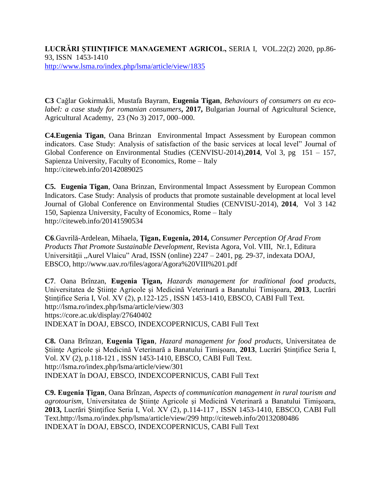**LUCRĂRI ȘTIINȚIFICE MANAGEMENT AGRICOL,** SERIA I, VOL.22(2) 2020, pp.86- 93, ISSN 1453-1410 <http://www.lsma.ro/index.php/lsma/article/view/1835>

**C3** Cağlar Gokirmakli, Mustafa Bayram, **Eugenia Tigan**, *Behaviours of consumers on eu ecolabel: a case study for romanian consumers*, 2017, Bulgarian Journal of Agricultural Science, Agricultural Academy, 23 (No 3) 2017, 000–000.

**C4.Eugenia Tigan**, Oana Brinzan Environmental Impact Assessment by European common indicators. Case Study: Analysis of satisfaction of the basic services at local level" Journal of Global Conference on Environmental Studies (CENVISU-2014),**2014**, Vol 3, pg 151 – 157, Sapienza University, Faculty of Economics, Rome – Italy <http://citeweb.info/20142089025>

**C5. Eugenia Tigan**, Oana Brinzan, Environmental Impact Assessment by European Common Indicators. Case Study: Analysis of products that promote sustainable development at local level Journal of Global Conference on Environmental Studies (CENVISU-2014), **2014**, Vol 3 142 150, Sapienza University, Faculty of Economics, Rome – Italy <http://citeweb.info/20141590534>

**C6**.Gavrilă-Ardelean*,* Mihaela, **Țigan, Eugenia, 2014,** *Consumer Perception Of Arad From Products That Promote Sustainable Development,* Revista Agora, Vol. VIII, Nr.1, Editura Universității "Aurel Vlaicu" Arad, ISSN (online) 2247 – 2401, pg. 29-37, indexata DOAJ, EBSCO,<http://www.uav.ro/files/agora/Agora%20VIII%201.pdf>

**C7**. Oana Brînzan, **Eugenia Țigan***, Hazards management for traditional food products*, Universitatea de Ştiinţe Agricole şi Medicină Veterinară a Banatului Timişoara, **2013**, Lucrări Ştinţifice Seria I, Vol. XV (2), p.122-125 , ISSN 1453-1410, EBSCO, CABI Full Text. <http://lsma.ro/index.php/lsma/article/view/303> <https://core.ac.uk/display/27640402> INDEXAT în DOAJ, EBSCO, INDEXCOPERNICUS, CABI Full Text

**C8.** Oana Brînzan, **Eugenia Țigan***, [Hazard management for food products](http://lsma.ro/index.php/lsma/article/view/301)*, Universitatea de Ştiinţe Agricole şi Medicină Veterinară a Banatului Timişoara, **2013**, Lucrări Ştinţifice Seria I, Vol. XV (2), p.118-121 , ISSN 1453-1410, EBSCO, CABI Full Text. <http://lsma.ro/index.php/lsma/article/view/301> INDEXAT în DOAJ, EBSCO, INDEXCOPERNICUS, CABI Full Text

**C9. Eugenia Țigan**, Oana Brînzan*, [Aspects of communication management in rural tourism and](http://lsma.ro/index.php/lsma/article/view/299)  [agrotourism](http://lsma.ro/index.php/lsma/article/view/299)*, Universitatea de Stiințe Agricole și Medicină Veterinară a Banatului Timișoara, **2013,** Lucrări Ştinţifice Seria I, Vol. XV (2), p.114-117 , ISSN 1453-1410, EBSCO, CABI Full Text[.http://lsma.ro/index.php/lsma/article/view/299](http://lsma.ro/index.php/lsma/article/view/299) <http://citeweb.info/20132080486> INDEXAT în DOAJ, EBSCO, INDEXCOPERNICUS, CABI Full Text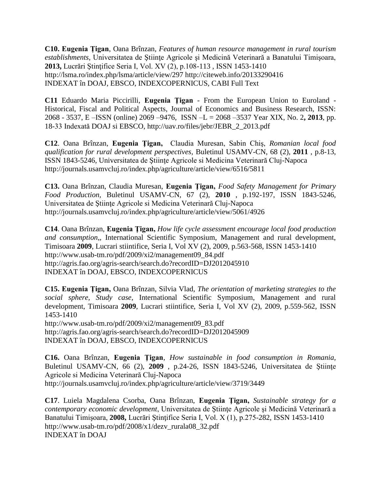**C10. Eugenia Țigan**, Oana Brînzan*, [Features of human resource management in rural tourism](http://lsma.ro/index.php/lsma/article/view/297)*  [establishments](http://lsma.ro/index.php/lsma/article/view/297), Universitatea de Stiințe Agricole și Medicină Veterinară a Banatului Timișoara, **2013,** Lucrări Ştinţifice Seria I, Vol. XV (2), p.108-113 , ISSN 1453-1410 <http://lsma.ro/index.php/lsma/article/view/297> <http://citeweb.info/20133290416> INDEXAT în DOAJ, EBSCO, INDEXCOPERNICUS, CABI Full Text

**C11** Eduardo Maria Piccirilli, **Eugenia Ţigan** - From the European Union to Euroland - Historical, Fiscal and Political Aspects, Journal of Economics and Business Research, ISSN: 2068 - 3537, E –ISSN (online) 2069 –9476, ISSN –L = 2068 –3537 Year XIX, No. 2**, 2013**, pp. 18-33 Indexată DOAJ si EBSCO, [http://uav.ro/files/jebr/JEBR\\_2\\_2013.pdf](http://uav.ro/files/jebr/JEBR_2_2013.pdf)

**C12**. Oana Brînzan, **Eugenia Ţigan,** Claudia Muresan, Sabin Chiş, *Romanian local food qualification for rural development perspectives,* Buletinul USAMV-CN, 68 (2), **2011** , p.8-13, ISSN 1843-5246, Universitatea de Ştiinţe Agricole si Medicina Veterinară Cluj-Napoca <http://journals.usamvcluj.ro/index.php/agriculture/article/view/6516/5811>

**C13.** Oana Brînzan, Claudia Muresan, **Eugenia Ţigan,** *Food Safety Management for Primary Food Production,* Buletinul USAMV-CN, 67 (2), **2010** , p.192-197, ISSN 1843-5246, Universitatea de Ştiinţe Agricole si Medicina Veterinară Cluj-Napoca <http://journals.usamvcluj.ro/index.php/agriculture/article/view/5061/4926>

**C14**. Oana Brînzan, **Eugenia Ţigan,** *How life cycle assessment encourage local food production and consumption*,, International Scientific Symposium, Management and rural development, Timisoara **2009**, Lucrari stiintifice, Seria I, Vol XV (2), 2009, p.563-568, ISSN 1453-1410 [http://www.usab-tm.ro/pdf/2009/xi2/management09\\_84.pdf](http://www.usab-tm.ro/pdf/2009/xi2/management09_84.pdf) <http://agris.fao.org/agris-search/search.do?recordID=DJ2012045910> INDEXAT în DOAJ, EBSCO, INDEXCOPERNICUS

**C15. Eugenia Ţigan,** Oana Brînzan, Silvia Vlad, *The orientation of marketing strategies to the social sphere, Study case,* International Scientific Symposium, Management and rural development, Timisoara **2009**, Lucrari stiintifice, Seria I, Vol XV (2), 2009, p.559-562, ISSN 1453-1410

[http://www.usab-tm.ro/pdf/2009/xi2/management09\\_83.pdf](http://www.usab-tm.ro/pdf/2009/xi2/management09_83.pdf) <http://agris.fao.org/agris-search/search.do?recordID=DJ2012045909> INDEXAT în DOAJ, EBSCO, INDEXCOPERNICUS

**C16.** Oana Brînzan, **Eugenia Ţigan**, *How sustainable in food consumption in Romania,* Buletinul USAMV-CN, 66 (2), **2009** , p.24-26, ISSN 1843-5246, Universitatea de Ştiinţe Agricole si Medicina Veterinară Cluj-Napoca <http://journals.usamvcluj.ro/index.php/agriculture/article/view/3719/3449>

**C17**. Luiela Magdalena Csorba, Oana Brînzan, **Eugenia Ţigan,** *Sustainable strategy for a contemporary economic development*, Universitatea de Ştiinţe Agricole şi Medicină Veterinară a Banatului Timişoara, **2008,** Lucrări Ştinţifice Seria I, Vol. X (1), p.275-282, ISSN 1453-1410 [http://www.usab-tm.ro/pdf/2008/x1/dezv\\_rurala08\\_32.pdf](http://www.usab-tm.ro/pdf/2008/x1/dezv_rurala08_32.pdf) INDEXAT în DOAJ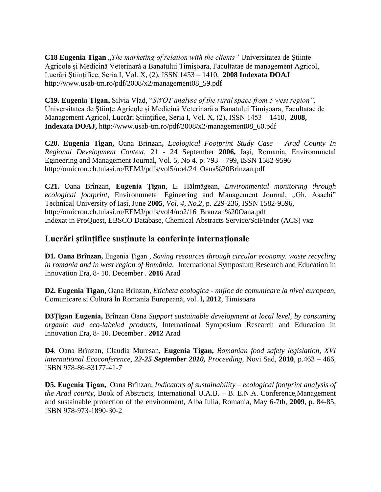**C18 Eugenia Tigan** "*The marketing of relation with the clients*" Universitatea de Ştiințe Agricole şi Medicină Veterinară a Banatului Timişoara, Facultatae de management Agricol, Lucrări Ştiinţifice, Seria I, Vol. X, (2), ISSN 1453 – 1410, **2008 Indexata DOAJ** [http://www.usab-tm.ro/pdf/2008/x2/management08\\_59.pdf](http://www.usab-tm.ro/pdf/2008/x2/management08_59.pdf)

**C19. Eugenia Ţigan,** Silvia Vlad, "*SWOT analyse of the rural space from 5 west region",* Universitatea de Ştiinţe Agricole şi Medicină Veterinară a Banatului Timişoara, Facultatae de Management Agricol, Lucrări Ştiinţifice, Seria I, Vol. X, (2), ISSN 1453 – 1410, **2008, Indexata DOAJ,** [http://www.usab-tm.ro/pdf/2008/x2/management08\\_60.pdf](http://www.usab-tm.ro/pdf/2008/x2/management08_60.pdf)

**C20. Eugenia Tigan,** Oana Brinzan**,** *Ecological Footprint Study Case – Arad County In Regional Development Context,* 21 - 24 September **2006,** Iaşi, Romania, Environmnetal Egineering and Management Journal, Vol. 5, No 4. p. 793 – 799, ISSN 1582-9596 [http://omicron.ch.tuiasi.ro/EEMJ/pdfs/vol5/no4/24\\_Oana%20Brinzan.pdf](http://omicron.ch.tuiasi.ro/EEMJ/pdfs/vol5/no4/24_Oana%20Brinzan.pdf)

**C21.** Oana Brînzan, **Eugenia Ţigan**, L. Hălmăgean, *Environmental monitoring through ecological footprint*, Environmnetal Egineering and Management Journal, "Gh. Asachi" Technical University of Iaşi, June **2005***, Vol. 4, No.2,* p. 229-236, ISSN 1582-9596, [http://omicron.ch.tuiasi.ro/EEMJ/pdfs/vol4/no2/16\\_Branzan%20Oana.pdf](http://omicron.ch.tuiasi.ro/EEMJ/pdfs/vol4/no2/16_Branzan%20Oana.pdf) Indexat in ProQuest, EBSCO Database, Chemical Abstracts Service/SciFinder (ACS) vxz

# **Lucrări științifice susținute la conferințe internaționale**

**D1. Oana Brînzan,** Eugenia Țigan , *Saving resources through circular economy. waste recycling in romania and in west region of România,* International Symposium Research and Education in Innovation Era, 8- 10. December . **2016** Arad

**D2. Eugenia Tigan,** Oana Brinzan, *Eticheta ecologica - mijloc de comunicare la nivel european*, Comunicare si Cultură În Romania Europeană, vol. I**, 2012**, Timisoara

**D3Țigan Eugenia,** Brînzan Oana *Support sustainable development at local level, by consuming organic and eco-labeled products*, International Symposium Research and Education in Innovation Era, 8- 10. December . **2012** Arad

**D4**. Oana Brînzan, Claudia Muresan, **Eugenia Tigan,** *Romanian food safety legislation, XVI international Ecoconference, 22-25 September 2010, Proceeding,* Novi Sad, **2010**, p.463 – 466, ISBN 978-86-83177-41-7

**D5. Eugenia Ţigan,** Oana Brînzan, *Indicators of sustainability – ecological footprint analysis of the Arad county,* Book of Abstracts, International U.A.B. – B. E.N.A. Conference,Management and sustainable protection of the environment, Alba Iulia, Romania, May 6-7th, **2009**, p. 84-85, ISBN 978-973-1890-30-2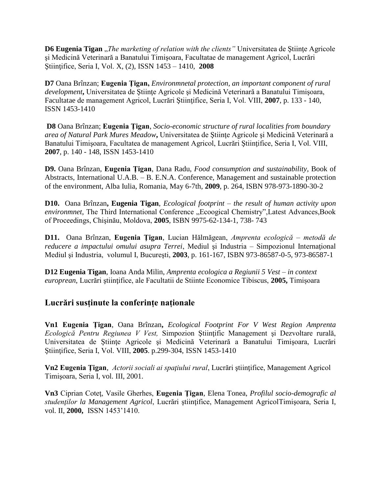**D6 Eugenia Tigan** "*The marketing of relation with the clients*" Universitatea de Stiinte Agricole şi Medicină Veterinară a Banatului Timişoara, Facultatae de management Agricol, Lucrări Ştiinţifice, Seria I, Vol. X, (2), ISSN 1453 – 1410, **2008**

**D7** Oana Brînzan; **Eugenia Ţigan,** *Environmnetal protection, an important component of rural development***,** Universitatea de Ştiinţe Agricole şi Medicină Veterinară a Banatului Timişoara, Facultatae de management Agricol, Lucrări Ştiinţifice, Seria I, Vol. VIII, **2007**, p. 133 - 140, ISSN 1453-1410

**D8** Oana Brînzan; **Eugenia Ţigan**, *Socio-economic structure of rural localities from boundary area of Natural Park Mures Meadow***,** Universitatea de Ştiinţe Agricole şi Medicină Veterinară a Banatului Timişoara, Facultatea de management Agricol, Lucrări Ştiinţifice, Seria I, Vol. VIII, **2007**, p. 140 - 148, ISSN 1453-1410

**D9.** Oana Brînzan, **Eugenia Ţigan**, Dana Radu, *Food consumption and sustainability*, Book of Abstracts, International U.A.B. – B. E.N.A. Conference, Management and sustainable protection of the environment, Alba Iulia, Romania, May 6-7th, **2009**, p. 264, ISBN 978-973-1890-30-2

**D10.** Oana Brînzan**, Eugenia Tigan**, *Ecological footprint – the result of human activity upon environmnet*, The Third International Conference "Ecoogical Chemistry",Latest Advances,Book of Proceedings, Chişinău, Moldova, **2005**, ISBN 9975-62-134-1, 738- 743

**D11.** Oana Brînzan, **Eugenia Ţigan**, Lucian Hălmăgean, *Amprenta ecologică – metodă de reducere a impactului omului asupra Terrei*, Mediul şi Industria – Simpozionul Internaţional Mediul şi Industria, volumul I, Bucureşti, **2003**, p. 161-167, ISBN 973-86587-0-5, 973-86587-1

**D12 Eugenia Tigan**, Ioana Anda Milin, *Amprenta ecologica a Regiunii 5 Vest – in context europrean*, Lucrări ştiinţifice, ale Facultatii de Stiinte Economice Tibiscus, **2005,** Timișoara

### **Lucrări susținute la conferințe naționale**

**Vn1 Eugenia Ţigan**, Oana Brînzan**,** *Ecological Footprint For V West Region Amprenta Ecologică Pentru Regiunea V Vest,* Simpozion Ştiinţific Management şi Dezvoltare rurală, Universitatea de Stiințe Agricole și Medicină Veterinară a Banatului Timișoara, Lucrări Ştiinţifice, Seria I, Vol. VIII, **2005**. p.299-304, ISSN 1453-1410

**Vn2 Eugenia Ţigan**, *Actorii sociali ai spaţiului rural*, Lucrări ştiinţifice, Management Agricol Timişoara, Seria I, vol. III, 2001.

**Vn3** Ciprian Coteţ, Vasile Gherhes, **Eugenia Ţigan**, Elena Tonea, *Profilul socio-demografic al studenţilor la Management Agricol*, Lucrări ştiinţifice, Management AgricolTimişoara, Seria I, vol. II, **2000,** ISSN 1453'1410.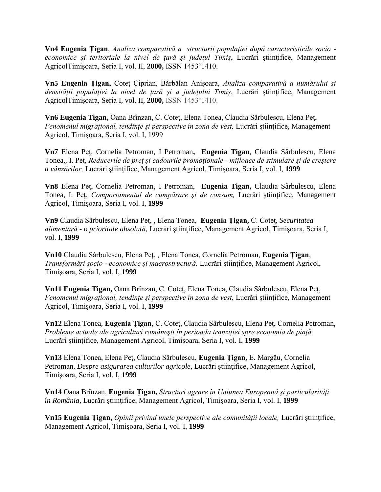**Vn4 Eugenia Ţigan**, *Analiza comparativă a structurii populaţiei după caracteristicile socio economice şi teritoriale la nivel de ţară şi judeţul Timiş*, Lucrări ştiinţifice, Management AgricolTimişoara, Seria I, vol. II, **2000,** ISSN 1453'1410.

**Vn5 Eugenia Ţigan,** Coteţ Ciprian, Bărbălan Anişoara, *Analiza comparativă a numărului şi densităţii populaţiei la nivel de ţară şi a judeţului Timiş*, Lucrări ştiinţifice, Management AgricolTimişoara, Seria I, vol. II, **2000,** ISSN 1453'1410.

**Vn6 Eugenia Tigan,** Oana Brînzan, C. Coteţ, Elena Tonea, Claudia Sârbulescu, Elena Peţ, *Fenomenul migraţional, tendinţe şi perspective în zona de vest,* Lucrări ştiinţifice, Management Agricol, Timişoara, Seria I, vol. I, 1999

**Vn7** Elena Peţ, Cornelia Petroman, I Petroman**, Eugenia Tigan**, Claudia Sârbulescu, Elena Tonea,, I. Peţ, *Reducerile de preţ şi cadourile promoţionale - mijloace de stimulare şi de creştere a vânzărilor,* Lucrări ştiinţifice, Management Agricol, Timişoara, Seria I, vol. I, **1999**

**Vn8** Elena Peţ, Cornelia Petroman, I Petroman, **Eugenia Tigan,** Claudia Sârbulescu, Elena Tonea, I. Peţ, *Comportamentul de cumpărare şi de consum,* Lucrări ştiinţifice, Management Agricol, Timişoara, Seria I, vol. I, **1999**

**Vn9** Claudia Sârbulescu, Elena Peţ, , Elena Tonea, **Eugenia Ţigan,** C. Coteţ, *Securitatea alimentară - o prioritate absolută,* Lucrări ştiinţifice, Management Agricol, Timişoara, Seria I, vol. I, **1999**

**Vn10** Claudia Sârbulescu, Elena Peţ, , Elena Tonea, Cornelia Petroman, **Eugenia Ţigan**, *Transformări socio - economice şi macrostructură,* Lucrări ştiinţifice, Management Agricol, Timişoara, Seria I, vol. I, **1999**

**Vn11 Eugenia Tigan,** Oana Brînzan, C. Coteţ, Elena Tonea, Claudia Sârbulescu, Elena Peţ, *Fenomenul migraţional, tendinţe şi perspective în zona de vest,* Lucrări ştiinţifice, Management Agricol, Timişoara, Seria I, vol. I, **1999**

**Vn12** Elena Tonea, **Eugenia Ţigan**, C. Coteţ, Claudia Sârbulescu, Elena Peţ, Cornelia Petroman, *Probleme actuale ale agriculturi româneşti în perioada tranziţiei spre economia de piaţă,*  Lucrări ştiinţifice, Management Agricol, Timişoara, Seria I, vol. I, **1999**

**Vn13** Elena Tonea, Elena Peţ, Claudia Sârbulescu, **Eugenia Ţigan,** E. Margău, Cornelia Petroman, *Despre asigurarea culturilor agricole*, Lucrări științifice, Management Agricol, Timişoara, Seria I, vol. I, **1999**

**Vn14** Oana Brînzan, **Eugenia Ţigan,** *Structuri agrare în Uniunea Europeană şi particularităţi în România,* Lucrări ştiinţifice, Management Agricol, Timişoara, Seria I, vol. I, **1999**

**Vn15 Eugenia Ţigan,** *Opinii privind unele perspective ale comunităţii locale,* Lucrări ştiinţifice, Management Agricol, Timişoara, Seria I, vol. I, **1999**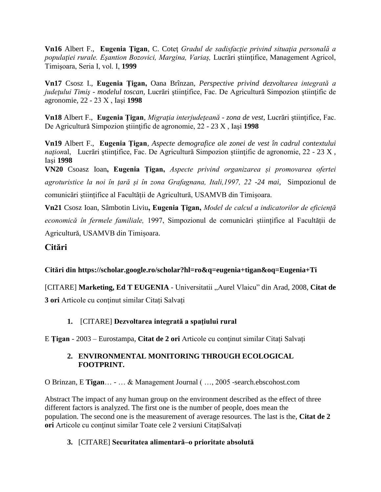**Vn16** Albert F., **Eugenia Tigan**, C. Cotet *Gradul de sadisfactie privind situatia personală a populaţiei rurale. Eşantion Bozovici, Margina, Variaş,* Lucrări ştiinţifice, Management Agricol, Timişoara, Seria I, vol. I, **1999**

**Vn17** Csosz I., **Eugenia Ţigan,** Oana Brînzan, *Perspective privind dezvoltarea integrată a judeţului Timiş - modelul toscan,* Lucrări ştiinţifice, Fac. De Agricultură Simpozion ştiinţific de agronomie, 22 - 23 X , Iaşi **1998**

**Vn18** Albert F., **Eugenia Ţigan**, *Migraţia interjudeţeană - zona de vest,* Lucrări ştiinţifice, Fac. De Agricultură Simpozion ştiinţific de agronomie, 22 - 23 X , Iaşi **1998**

**Vn19** Albert F., **Eugenia Ţigan**, *Aspecte demografice ale zonei de vest în cadrul contextului național*, Lucrări științifice, Fac. De Agricultură Simpozion științific de agronomie, 22 - 23 X, Iaşi **1998**

**VN20** Csoasz Ioan**, Eugenia Țigan,** *Aspecte privind organizarea și promovarea ofertei agroturistice la noi în țară și în zona Grafagnana, Itali,1997, 22 -24 mai,* Simpozionul de comunicări științifice al Facultății de Agricultură, USAMVB din Timișoara.

**Vn21** Csosz Ioan, Sâmbotin Liviu**, Eugenia Țigan,** *Model de calcul a indicatorilor de eficiență economică în fermele familiale,* 1997, Simpozionul de comunicări științifice al Facultății de Agricultură, USAMVB din Timișoara.

# **Citări**

**Citări din<https://scholar.google.ro/scholar?hl=ro&q=eugenia+tigan&oq=Eugenia+Ti>**

[CITARE] **Marketing, Ed T EUGENIA** - Universitatii "Aurel Vlaicu" din Arad, 2008, **[Citat de](https://scholar.google.ro/scholar?cites=916660095897398270&as_sdt=2005&sciodt=0,5&hl=ro)  [3 ori](https://scholar.google.ro/scholar?cites=916660095897398270&as_sdt=2005&sciodt=0,5&hl=ro)** [Articole cu conţinut similar](https://scholar.google.ro/scholar?q=related:_mu9I4ChuAwJ:scholar.google.com/&hl=ro&as_sdt=0,5) [Citați](https://scholar.google.ro/scholar?hl=ro&q=eugenia+tigan&oq=Eugenia+Ti) [Salvați](https://scholar.google.ro/scholar?hl=ro&q=eugenia+tigan&oq=Eugenia+Ti)

### **1.** [CITARE] **Dezvoltarea integrată a spaţiului rural**

E **Ţigan** - 2003 – Eurostampa, **[Citat de 2 ori](https://scholar.google.ro/scholar?cites=8572291617813522895&as_sdt=2005&sciodt=0,5&hl=ro)** [Articole cu conţinut similar](https://scholar.google.ro/scholar?q=related:z2nV9s7l9nYJ:scholar.google.com/&hl=ro&as_sdt=0,5) [Citați](https://scholar.google.ro/scholar?hl=ro&q=eugenia+tigan&oq=Eugenia+Ti) [Salvați](https://scholar.google.ro/scholar?hl=ro&q=eugenia+tigan&oq=Eugenia+Ti)

#### **2. [ENVIRONMENTAL MONITORING THROUGH ECOLOGICAL](http://search.ebscohost.com/login.aspx?direct=true&profile=ehost&scope=site&authtype=crawler&jrnl=15829596&AN=33382991&h=l9iEhRvJRSUq6sXb6hSbyQgB%2B%2BU%2BPRGlrpWe9bedk1kSPqWZ%2BdLC5OuMon08i9U5Yps1ZiZCtDZdnFNDuZXGLw%3D%3D&crl=c)  [FOOTPRINT.](http://search.ebscohost.com/login.aspx?direct=true&profile=ehost&scope=site&authtype=crawler&jrnl=15829596&AN=33382991&h=l9iEhRvJRSUq6sXb6hSbyQgB%2B%2BU%2BPRGlrpWe9bedk1kSPqWZ%2BdLC5OuMon08i9U5Yps1ZiZCtDZdnFNDuZXGLw%3D%3D&crl=c)**

O Brinzan, E **Tigan**… - … & Management Journal ( …, 2005 [-search.ebscohost.com](http://search.ebscohost.com/)

Abstract The impact of any human group on the environment described as the effect of three different factors is analyzed. The first one is the number of people, does mean the population. The second one is the measurement of average resources. The last is the, **[Citat de 2](https://scholar.google.ro/scholar?cites=18418490347246442390&as_sdt=2005&sciodt=0,5&hl=ro)  [ori](https://scholar.google.ro/scholar?cites=18418490347246442390&as_sdt=2005&sciodt=0,5&hl=ro)** Articole cu continut similar [Toate cele 2 versiuni](https://scholar.google.ro/scholar?cluster=18418490347246442390&hl=ro&as_sdt=0,5) CitatiSalvați

### **3.** [CITARE] **Securitatea alimentară–o prioritate absolută**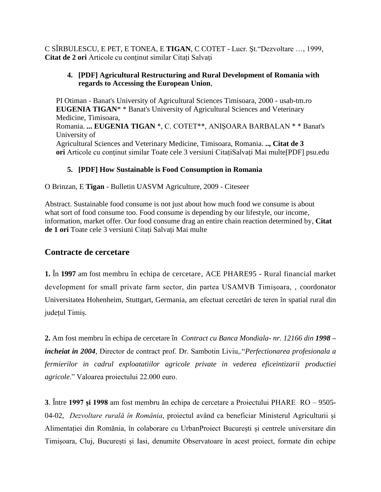C SÎRBULESCU, E PET, E TONEA, E **TIGAN**, C COTET - Lucr. Şt."Dezvoltare …, 1999, **[Citat de 2 ori](https://scholar.google.ro/scholar?cites=8876278213504951764&as_sdt=2005&sciodt=0,5&hl=ro)** [Articole cu conţinut similar](https://scholar.google.ro/scholar?q=related:1GWAswHgLnsJ:scholar.google.com/&hl=ro&as_sdt=0,5) [Citați](https://scholar.google.ro/scholar?hl=ro&q=eugenia+tigan&oq=Eugenia+Ti) [Salvați](https://scholar.google.ro/scholar?hl=ro&q=eugenia+tigan&oq=Eugenia+Ti)

#### **4. [PDF] [Agricultural Restructuring and Rural Development of Romania with](http://usab-tm.ro/pdf/Rezumate2000.pdf)  [regards to Accessing the European Union](http://usab-tm.ro/pdf/Rezumate2000.pdf)**,

[PI Otiman](https://scholar.google.ro/citations?user=liAagMAAAAAJ&hl=ro&oi=sra) - Banat's University of Agricultural Sciences Timisoara, 2000 - [usab-tm.ro](http://usab-tm.ro/) **EUGENIA TIGAN**\* \* Banat's University of Agricultural Sciences and Veterinary Medicine, Timisoara, Romania. **... EUGENIA TIGAN** \*, C. COTET\*\*, ANIŞOARA BARBALAN \* \* Banat's University of Agricultural Sciences and Veterinary Medicine, Timisoara, Romania. **.., [Citat de 3](https://scholar.google.ro/scholar?cites=1949790505363403717&as_sdt=2005&sciodt=0,5&hl=ro)  [ori](https://scholar.google.ro/scholar?cites=1949790505363403717&as_sdt=2005&sciodt=0,5&hl=ro)** [Articole cu conţinut similar](https://scholar.google.ro/scholar?q=related:xXOdWiIMDxsJ:scholar.google.com/&hl=ro&as_sdt=0,5) [Toate cele 3 versiuni](https://scholar.google.ro/scholar?cluster=1949790505363403717&hl=ro&as_sdt=0,5) [CitațiSalvați](https://scholar.google.ro/scholar?hl=ro&q=eugenia+tigan&oq=Eugenia+Ti) [Mai multe\[PDF\] psu.edu](https://scholar.google.ro/scholar?hl=ro&q=eugenia+tigan&oq=Eugenia+Ti)

### **5. [PDF] [How Sustainable is Food Consumption in Romania](http://citeseerx.ist.psu.edu/viewdoc/download?doi=10.1.1.846.5360&rep=rep1&type=pdf)**

O Brinzan, E **Tigan** - Bulletin UASVM Agriculture, 2009 - Citeseer

Abstract. Sustainable food consume is not just about how much food we consume is about what sort of food consume too. Food consume is depending by our lifestyle, our income, information, market offer. Our food consume drag an entire chain reaction determined by, **[Citat](https://scholar.google.ro/scholar?cites=5371854384887605338&as_sdt=2005&sciodt=0,5&hl=ro)  [de 1 ori](https://scholar.google.ro/scholar?cites=5371854384887605338&as_sdt=2005&sciodt=0,5&hl=ro)** [Toate cele 3 versiuni](https://scholar.google.ro/scholar?cluster=5371854384887605338&hl=ro&as_sdt=0,5) [Citați](https://scholar.google.ro/scholar?hl=ro&q=eugenia+tigan&oq=Eugenia+Ti) [Salvați](https://scholar.google.ro/scholar?hl=ro&q=eugenia+tigan&oq=Eugenia+Ti) [Mai multe](https://scholar.google.ro/scholar?hl=ro&q=eugenia+tigan&oq=Eugenia+Ti)

# **Contracte de cercetare**

**1.** În **1997** am fost membru în echipa de cercetare, ACE PHARE95 - Rural financial market development for small private farm sector, din partea USAMVB Timișoara, , coordonator Universitatea Hohenheim, Stuttgart, Germania, am efectuat cercetări de teren în spatial rural din județul Timiș.

**2.** Am fost membru în echipa de cercetare în *Contract cu Banca Mondiala- nr. 12166 din 1998 – incheiat in 2004*, Director de contract prof. Dr. Sambotin Liviu,."*Perfectionarea profesionala a fermierilor in cadrul exploatatiilor agricole private in vederea eficeintizarii productiei agricole*." Valoarea proiectului 22.000 euro.

**3**. Între **1997 și 1998** am fost membru ăn echipa de cercetare a Proiectului PHARE RO – 9505- 04-02, *Dezvoltare rurală în România*, proiectul având ca beneficiar Ministerul Agriculturii și Alimentației din Romănia, în colaborare cu UrbanProiect București și centrele universitare din Timișoara, Cluj, București și Iasi, denumite Observatoare în acest proiect, formate din echipe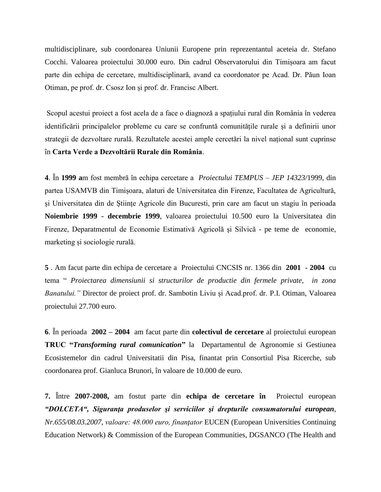multidisciplinare, sub coordonarea Uniunii Europene prin reprezentantul aceteia dr. Stefano Cocchi. Valoarea proiectului 30.000 euro. Din cadrul Observatorului din Timișoara am facut parte din echipa de cercetare, multidisciplinară, avand ca coordonator pe Acad. Dr. Păun Ioan Otiman, pe prof. dr. Csosz Ion și prof. dr. Francisc Albert.

Scopul acestui proiect a fost acela de a face o diagnoză a spațiului rural din România în vederea identificării principalelor probleme cu care se confruntă comunitățile rurale și a definirii unor strategii de dezvoltare rurală. Rezultatele acestei ample cercetări la nivel național sunt cuprinse în **Carta Verde a Dezvoltării Rurale din România**.

**4**. În **1999 a**m fost membră în echipa cercetare a *Proiectului TEMPUS – JEP 14323/*1999, din partea USAMVB din Timișoara, alaturi de Universitatea din Firenze, Facultatea de Agricultură, și Universitatea din de Științe Agricole din Bucuresti, prin care am facut un stagiu în perioada **Noiembrie 1999 - decembrie 1999**, valoarea proiectului 10.500 euro la Universitatea din Firenze, Deparatmentul de Economie Estimativă Agricolă şi Silvică - pe teme de economie, marketing și sociologie rurală.

**5** . Am facut parte din echipa de cercetare a Proiectului CNCSIS nr. 1366 din **2001 - 2004** cu tema " *Proiectarea dimensiunii si structurilor de productie din fermele private, in zona Banatului."* Director de proiect prof. dr. Sambotin Liviu și Acad.prof. dr. P.I. Otiman, Valoarea proiectului 27.700 euro.

**6**. În perioada **2002 – 2004** am facut parte din **colectivul de cercetare** al proiectului european **TRUC "***Transforming rural comunication***"** la Departamentul de Agronomie si Gestiunea Ecosistemelor din cadrul Universitatii din Pisa, finantat prin Consortiul Pisa Ricerche, sub coordonarea prof. Gianluca Brunori, în valoare de 10.000 de euro.

**7.** Între **2007-2008,** am fostut parte din **echipa de cercetare în** Proiectul european *"DOLCETA", Siguranţa produselor şi serviciilor şi drepturile consumatorului european, Nr.655/08.03.2007, valoare: 48.000 euro, finanţator* EUCEN (European Universities Continuing Education Network) & Commission of the European Communities, DGSANCO (The Health and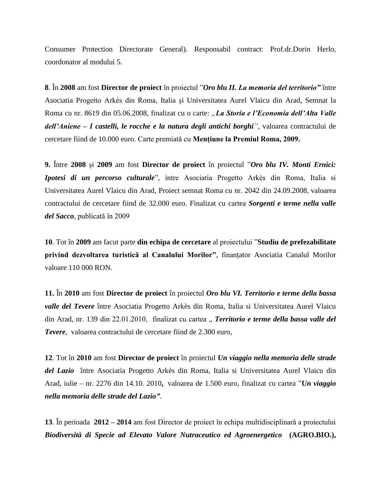Consumer Protection Directorate General). Responsabil contract: Prof.dr.Dorin Herlo, coordonator al modului 5.

**8**. În **2008** am fost **Director de proiect** în proiectul "*Oro blu II. La memoria del territorio"* între Asociatia Progetto Arkès din Roma, Italia și Universitatea Aurel Vlaicu din Arad, Semnat la Roma cu nr. 8619 din 05.06.2008, finalizat cu o carte: "La Storia e l'Economia dell'Alta Valle *dell'Aniene – I castelli, le rocche e la natura degli antichi borghi"*, valoarea contractului de cercetare fiind de 10.000 euro. Carte premiată cu **Mențiune la Premiul Roma, 2009.**

**9.** Între **2008** și **2009** am fost **Director de proiect** în proiectul "*Oro blu IV. Monti Ernici: Ipotesi di un percorso culturale*", intre Asociatia Progetto Arkès din Roma, Italia si Universitatea Aurel Vlaicu din Arad, Proiect semnat Roma cu nr. 2042 din 24.09.2008, valoarea contractului de cercetare fiind de 32.000 euro. Finalizat cu cartea *Sorgenti e terme nella valle del Sacco*, publicată în 2009

**10**. Tot în **2009** am facut parte **din echipa de cercetare** al proiectului "**Studiu de prefezabilitate privind dezvoltarea turistică al Canalului Morilor"**, finanțator Asociatia Canalul Morilor valoare 110 000 RON.

**11.** În **2010** am fost **Director de proiect** în proiectul *Oro blu VI. Territorio e terme della bassa valle del Tevere* între Asociatia Progetto Arkès din Roma, Italia si Universitatea Aurel Vlaicu din Arad, nr. 139 din 22.01.2010, finalizat cu cartea " *Territorio e terme della bassa valle del Tevere,* valoarea contractului de cercetare fiind de 2.300 euro,

**12**. Tot în **2010** am fost **Director de proiect** în proiectul *Un viaggio nella memoria delle strade del Lazio* între Asociatia Progetto Arkès din Roma, Italia si Universitatea Aurel Vlaicu din Arad, iulie – nr. 2276 din 14.10. 2010**,** valoarea de 1.500 euro, finalizat cu cartea "*Un viaggio nella memoria delle strade del Lazio"*.

**13**. În perioada **2012 – 2014** am fost Director de proiect în echipa multidisciplinară a proiectului *Biodiversità di Specie ad Elevato Valore Nutraceutico ed Agroenergetico* **(AGRO.BIO.),**